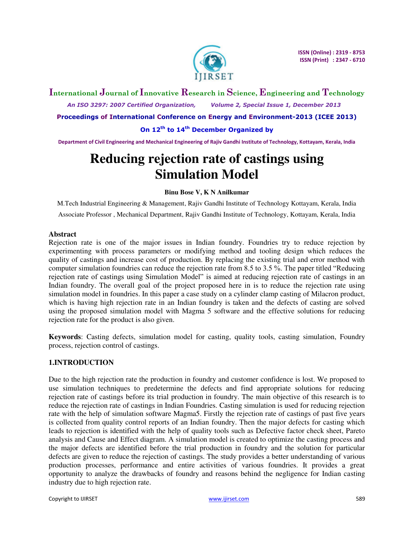

**International Journal of Innovative Research in Science, Engineering and Technology**  *An ISO 3297: 2007 Certified Organization, Volume 2, Special Issue 1, December 2013* 

**Proceedings of International Conference on Energy and Environment-2013 (ICEE 2013)** 

# **On 12th to 14th December Organized by**

**Department of Civil Engineering and Mechanical Engineering of Rajiv Gandhi Institute of Technology, Kottayam, Kerala, India** 

# **Reducing rejection rate of castings using Simulation Model**

#### **Binu Bose V, K N Anilkumar**

M.Tech Industrial Engineering & Management, Rajiv Gandhi Institute of Technology Kottayam, Kerala, India Associate Professor , Mechanical Department, Rajiv Gandhi Institute of Technology, Kottayam, Kerala, India

## **Abstract**

Rejection rate is one of the major issues in Indian foundry. Foundries try to reduce rejection by experimenting with process parameters or modifying method and tooling design which reduces the quality of castings and increase cost of production. By replacing the existing trial and error method with computer simulation foundries can reduce the rejection rate from 8.5 to 3.5 %. The paper titled "Reducing rejection rate of castings using Simulation Model" is aimed at reducing rejection rate of castings in an Indian foundry. The overall goal of the project proposed here in is to reduce the rejection rate using simulation model in foundries. In this paper a case study on a cylinder clamp casting of Milacron product, which is having high rejection rate in an Indian foundry is taken and the defects of casting are solved using the proposed simulation model with Magma 5 software and the effective solutions for reducing rejection rate for the product is also given.

**Keywords**: Casting defects, simulation model for casting, quality tools, casting simulation, Foundry process, rejection control of castings.

## **1.INTRODUCTION**

Due to the high rejection rate the production in foundry and customer confidence is lost. We proposed to use simulation techniques to predetermine the defects and find appropriate solutions for reducing rejection rate of castings before its trial production in foundry. The main objective of this research is to reduce the rejection rate of castings in Indian Foundries. Casting simulation is used for reducing rejection rate with the help of simulation software Magma5. Firstly the rejection rate of castings of past five years is collected from quality control reports of an Indian foundry. Then the major defects for casting which leads to rejection is identified with the help of quality tools such as Defective factor check sheet, Pareto analysis and Cause and Effect diagram. A simulation model is created to optimize the casting process and the major defects are identified before the trial production in foundry and the solution for particular defects are given to reduce the rejection of castings. The study provides a better understanding of various production processes, performance and entire activities of various foundries. It provides a great opportunity to analyze the drawbacks of foundry and reasons behind the negligence for Indian casting industry due to high rejection rate.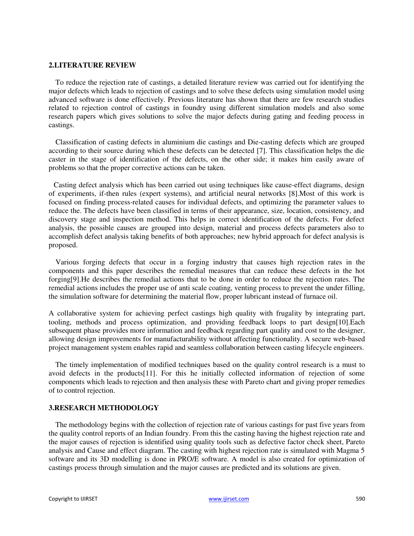#### **2.LITERATURE REVIEW**

To reduce the rejection rate of castings, a detailed literature review was carried out for identifying the major defects which leads to rejection of castings and to solve these defects using simulation model using advanced software is done effectively. Previous literature has shown that there are few research studies related to rejection control of castings in foundry using different simulation models and also some research papers which gives solutions to solve the major defects during gating and feeding process in castings.

Classification of casting defects in aluminium die castings and Die-casting defects which are grouped according to their source during which these defects can be detected [7]. This classification helps the die caster in the stage of identification of the defects, on the other side; it makes him easily aware of problems so that the proper corrective actions can be taken.

Casting defect analysis which has been carried out using techniques like cause-effect diagrams, design of experiments, if-then rules (expert systems), and artificial neural networks [8].Most of this work is focused on finding process-related causes for individual defects, and optimizing the parameter values to reduce the. The defects have been classified in terms of their appearance, size, location, consistency, and discovery stage and inspection method. This helps in correct identification of the defects. For defect analysis, the possible causes are grouped into design, material and process defects parameters also to accomplish defect analysis taking benefits of both approaches; new hybrid approach for defect analysis is proposed.

Various forging defects that occur in a forging industry that causes high rejection rates in the components and this paper describes the remedial measures that can reduce these defects in the hot forging[9].He describes the remedial actions that to be done in order to reduce the rejection rates. The remedial actions includes the proper use of anti scale coating, venting process to prevent the under filling, the simulation software for determining the material flow, proper lubricant instead of furnace oil.

A collaborative system for achieving perfect castings high quality with frugality by integrating part, tooling, methods and process optimization, and providing feedback loops to part design[10].Each subsequent phase provides more information and feedback regarding part quality and cost to the designer, allowing design improvements for manufacturability without affecting functionality. A secure web-based project management system enables rapid and seamless collaboration between casting lifecycle engineers.

The timely implementation of modified techniques based on the quality control research is a must to avoid defects in the products[11]. For this he initially collected information of rejection of some components which leads to rejection and then analysis these with Pareto chart and giving proper remedies of to control rejection.

## **3.RESEARCH METHODOLOGY**

The methodology begins with the collection of rejection rate of various castings for past five years from the quality control reports of an Indian foundry. From this the casting having the highest rejection rate and the major causes of rejection is identified using quality tools such as defective factor check sheet, Pareto analysis and Cause and effect diagram. The casting with highest rejection rate is simulated with Magma 5 software and its 3D modelling is done in PRO/E software. A model is also created for optimization of castings process through simulation and the major causes are predicted and its solutions are given.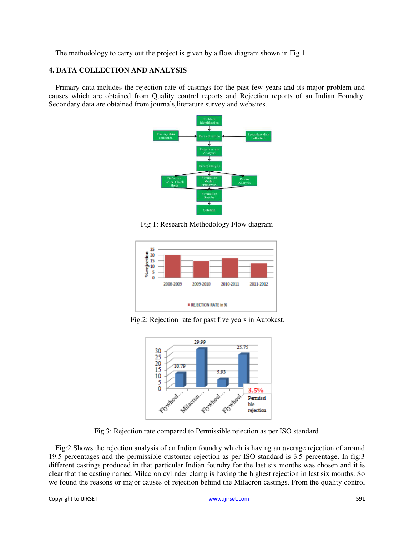The methodology to carry out the project is given by a flow diagram shown in Fig 1.

## **4. DATA COLLECTION AND ANALYSIS**

Primary data includes the rejection rate of castings for the past few years and its major problem and causes which are obtained from Quality control reports and Rejection reports of an Indian Foundry. Secondary data are obtained from journals,literature survey and websites.



Fig 1: Research Methodology Flow diagram



Fig.2: Rejection rate for past five years in Autokast.



Fig.3: Rejection rate compared to Permissible rejection as per ISO standard

Fig:2 Shows the rejection analysis of an Indian foundry which is having an average rejection of around 19.5 percentages and the permissible customer rejection as per ISO standard is 3.5 percentage. In fig:3 different castings produced in that particular Indian foundry for the last six months was chosen and it is clear that the casting named Milacron cylinder clamp is having the highest rejection in last six months. So we found the reasons or major causes of rejection behind the Milacron castings. From the quality control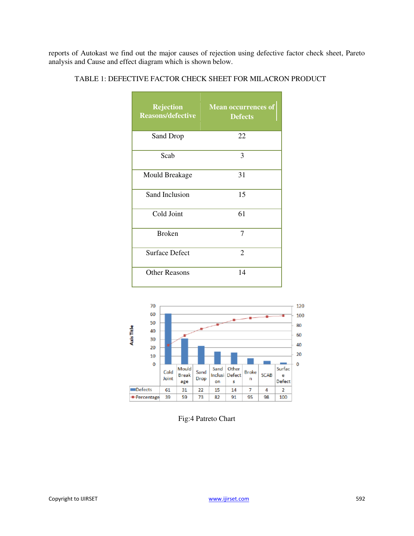reports of Autokast we find out the major causes of rejection using defective factor check sheet, Pareto analysis and Cause and effect diagram which is shown below.

| <b>Rejection</b><br><b>Reasons/defective</b> | <b>Mean occurrences of</b><br><b>Defects</b> |
|----------------------------------------------|----------------------------------------------|
| Sand Drop                                    | 22                                           |
| Scab                                         | 3                                            |
| <b>Mould Breakage</b>                        | 31                                           |
| Sand Inclusion                               | 15                                           |
| Cold Joint                                   | 61                                           |
| <b>Broken</b>                                | 7                                            |
| <b>Surface Defect</b>                        | 2                                            |
| <b>Other Reasons</b>                         | 14                                           |

TABLE 1: DEFECTIVE FACTOR CHECK SHEET FOR MILACRON PRODUCT



Fig:4 Patreto Chart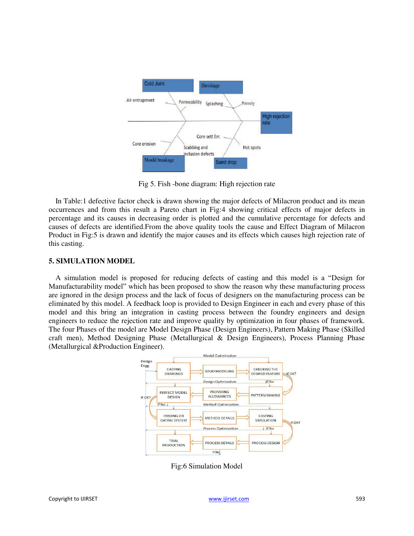

Fig 5. Fish -bone diagram: High rejection rate

In Table:1 defective factor check is drawn showing the major defects of Milacron product and its mean occurrences and from this result a Pareto chart in Fig:4 showing critical effects of major defects in percentage and its causes in decreasing order is plotted and the cumulative percentage for defects and causes of defects are identified.From the above quality tools the cause and Effect Diagram of Milacron Product in Fig:5 is drawn and identify the major causes and its effects which causes high rejection rate of this casting.

## **5. SIMULATION MODEL**

A simulation model is proposed for reducing defects of casting and this model is a "Design for Manufacturability model" which has been proposed to show the reason why these manufacturing process are ignored in the design process and the lack of focus of designers on the manufacturing process can be eliminated by this model. A feedback loop is provided to Design Engineer in each and every phase of this model and this bring an integration in casting process between the foundry engineers and design engineers to reduce the rejection rate and improve quality by optimization in four phases of framework. The four Phases of the model are Model Design Phase (Design Engineers), Pattern Making Phase (Skilled craft men), Method Designing Phase (Metallurgical & Design Engineers), Process Planning Phase (Metallurgical &Production Engineer).



Fig:6 Simulation Model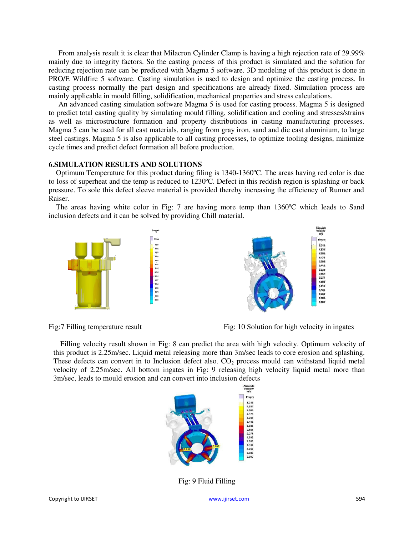From analysis result it is clear that Milacron Cylinder Clamp is having a high rejection rate of 29.99% mainly due to integrity factors. So the casting process of this product is simulated and the solution for reducing rejection rate can be predicted with Magma 5 software. 3D modeling of this product is done in PRO/E Wildfire 5 software. Casting simulation is used to design and optimize the casting process. In casting process normally the part design and specifications are already fixed. Simulation process are mainly applicable in mould filling, solidification, mechanical properties and stress calculations.

An advanced casting simulation software Magma 5 is used for casting process. Magma 5 is designed to predict total casting quality by simulating mould filling, solidification and cooling and stresses/strains as well as microstructure formation and property distributions in casting manufacturing processes. Magma 5 can be used for all cast materials, ranging from gray iron, sand and die cast aluminium, to large steel castings. Magma 5 is also applicable to all casting processes, to optimize tooling designs, minimize cycle times and predict defect formation all before production.

## **6.SIMULATION RESULTS AND SOLUTIONS**

Optimum Temperature for this product during filing is 1340-1360ºC. The areas having red color is due to loss of superheat and the temp is reduced to 1230ºC. Defect in this reddish region is splashing or back pressure. To sole this defect sleeve material is provided thereby increasing the efficiency of Runner and Raiser.

The areas having white color in Fig: 7 are having more temp than 1360ºC which leads to Sand inclusion defects and it can be solved by providing Chill material.





Fig: 7 Filling temperature result Fig: 10 Solution for high velocity in ingates

Filling velocity result shown in Fig: 8 can predict the area with high velocity. Optimum velocity of this product is 2.25m/sec. Liquid metal releasing more than 3m/sec leads to core erosion and splashing. These defects can convert in to Inclusion defect also.  $CO<sub>2</sub>$  process mould can withstand liquid metal velocity of 2.25m/sec. All bottom ingates in Fig: 9 releasing high velocity liquid metal more than 3m/sec, leads to mould erosion and can convert into inclusion defects



Fig: 9 Fluid Filling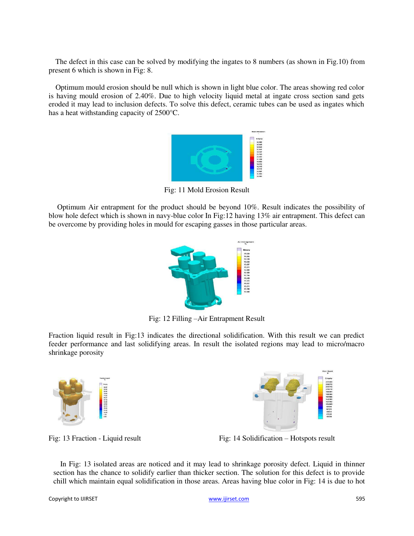The defect in this case can be solved by modifying the ingates to 8 numbers (as shown in Fig.10) from present 6 which is shown in Fig: 8.

Optimum mould erosion should be null which is shown in light blue color. The areas showing red color is having mould erosion of 2.40%. Due to high velocity liquid metal at ingate cross section sand gets eroded it may lead to inclusion defects. To solve this defect, ceramic tubes can be used as ingates which has a heat withstanding capacity of 2500°C.



Fig: 11 Mold Erosion Result

Optimum Air entrapment for the product should be beyond 10%. Result indicates the possibility of blow hole defect which is shown in navy-blue color In Fig:12 having 13% air entrapment. This defect can be overcome by providing holes in mould for escaping gasses in those particular areas.



Fig: 12 Filling –Air Entrapment Result

Fraction liquid result in Fig:13 indicates the directional solidification. With this result we can predict feeder performance and last solidifying areas. In result the isolated regions may lead to micro/macro shrinkage porosity





Fig: 13 Fraction - Liquid result Fig: 14 Solidification – Hotspots result

In Fig: 13 isolated areas are noticed and it may lead to shrinkage porosity defect. Liquid in thinner section has the chance to solidify earlier than thicker section. The solution for this defect is to provide chill which maintain equal solidification in those areas. Areas having blue color in Fig: 14 is due to hot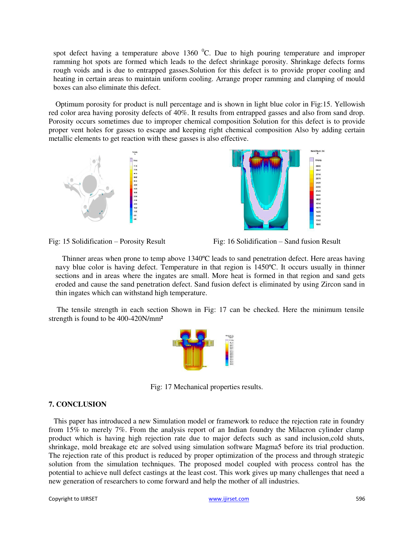spot defect having a temperature above 1360  $^{\circ}$ C. Due to high pouring temperature and improper ramming hot spots are formed which leads to the defect shrinkage porosity. Shrinkage defects forms rough voids and is due to entrapped gasses. Solution for this defect is to provide proper cooling and heating in certain areas to maintain uniform cooling. Arrange proper ramming and clamping of mould boxes can also eliminate this defect.

Optimum porosity for product is null percentage and is shown in light blue color in Fig:15. Yellowish red color area having porosity defects of 40%. It results from entrapped gasses and also from sand drop. Porosity occurs sometimes due to improper chemical composition Solution for this defect is to provide proper vent holes for gasses to escape and keeping right chemical composition Also by adding certain metallic elements to get reaction with these gasses is also effective.





元练 孔保 机切 鼠腹 机面 加速 加速 加速 加速 加速 加速 化双氧化二苯基

Fig: 15 Solidification – Porosity Result Fig: 16 Solidification – Sand fusion Result

Thinner areas when prone to temp above 1340ºC leads to sand penetration defect. Here areas having navy blue color is having defect. Temperature in that region is 1450ºC. It occurs usually in thinner sections and in areas where the ingates are small. More heat is formed in that region and sand gets eroded and cause the sand penetration defect. Sand fusion defect is eliminated by using Zircon sand in thin ingates which can withstand high temperature.

The tensile strength in each section Shown in Fig: 17 can be checked. Here the minimum tensile strength is found to be 400-420N/mm²



Fig: 17 Mechanical properties results.

## **7. CONCLUSION**

This paper has introduced a new Simulation model or framework to reduce the rejection rate in foundry from 15% to merely 7%. From the analysis report of an Indian foundry the Milacron cylinder clamp product which is having high rejection rate due to major defects such as sand inclusion,cold shuts, shrinkage, mold breakage etc are solved using simulation software Magma5 before its trial production. The rejection rate of this product is reduced by proper optimization of the process and through strategic solution from the simulation techniques. The proposed model coupled with process control has the potential to achieve null defect castings at the least cost. This work gives up many challenges that need a new generation of researchers to come forward and help the mother of all industries.